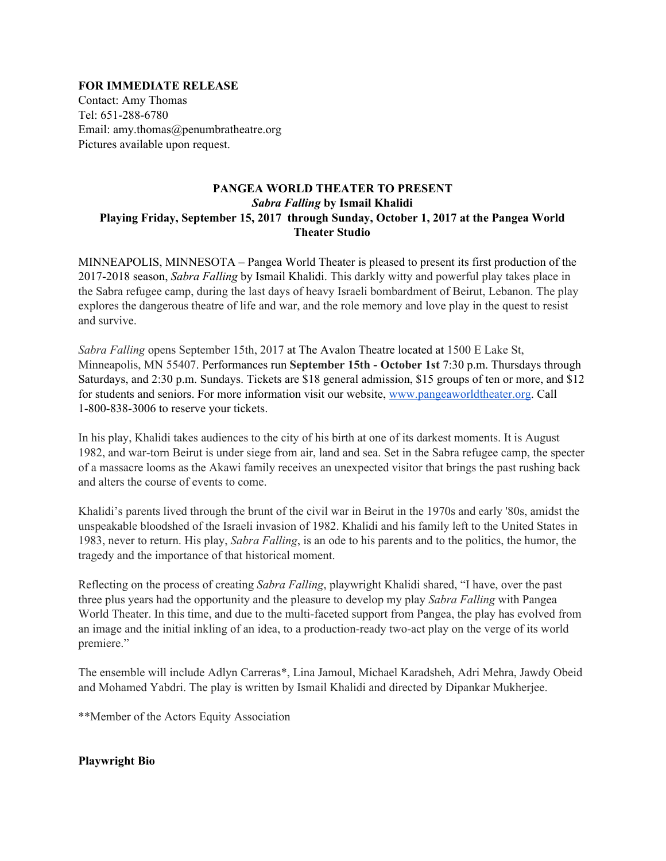### **FOR IMMEDIATE RELEASE**

Contact: Amy Thomas Tel: 651-288-6780 Email: amy.thomas@penumbratheatre.org Pictures available upon request.

# **PANGEA WORLD THEATER TO PRESENT** *Sabra Falling* **by Ismail Khalidi Playing Friday, September 15, 2017 through Sunday, October 1, 2017 at the Pangea World Theater Studio**

MINNEAPOLIS, MINNESOTA – Pangea World Theater is pleased to present its first production of the 2017-2018 season, *Sabra Falling* by Ismail Khalidi. This darkly witty and powerful play takes place in the Sabra refugee camp, during the last days of heavy Israeli bombardment of Beirut, Lebanon. The play explores the dangerous theatre of life and war, and the role memory and love play in the quest to resist and survive.

*Sabra Falling* opens September 15th, 2017 at The Avalon Theatre located at 1500 E Lake St, Minneapolis, MN 55407. Performances run **September 15th - October 1st** 7:30 p.m. Thursdays through Saturdays, and 2:30 p.m. Sundays. Tickets are \$18 general admission, \$15 groups of ten or more, and \$12 for students and seniors. For more information visit our website, [www.pangeaworldtheater.org.](http://www.pangeaworldtheater.org/) Call 1-800-838-3006 to reserve your tickets.

In his play, Khalidi takes audiences to the city of his birth at one of its darkest moments. It is August 1982, and war-torn Beirut is under siege from air, land and sea. Set in the Sabra refugee camp, the specter of a massacre looms as the Akawi family receives an unexpected visitor that brings the past rushing back and alters the course of events to come.

Khalidi's parents lived through the brunt of the civil war in Beirut in the 1970s and early '80s, amidst the unspeakable bloodshed of the Israeli invasion of 1982. Khalidi and his family left to the United States in 1983, never to return. His play, *Sabra Falling*, is an ode to his parents and to the politics, the humor, the tragedy and the importance of that historical moment.

Reflecting on the process of creating *Sabra Falling*, playwright Khalidi shared, "I have, over the past three plus years had the opportunity and the pleasure to develop my play *Sabra Falling* with Pangea World Theater. In this time, and due to the multi-faceted support from Pangea, the play has evolved from an image and the initial inkling of an idea, to a production-ready two-act play on the verge of its world premiere."

The ensemble will include Adlyn Carreras\*, Lina Jamoul, Michael Karadsheh, Adri Mehra, Jawdy Obeid and Mohamed Yabdri. The play is written by Ismail Khalidi and directed by Dipankar Mukherjee.

\*\*Member of the Actors Equity Association

### **Playwright Bio**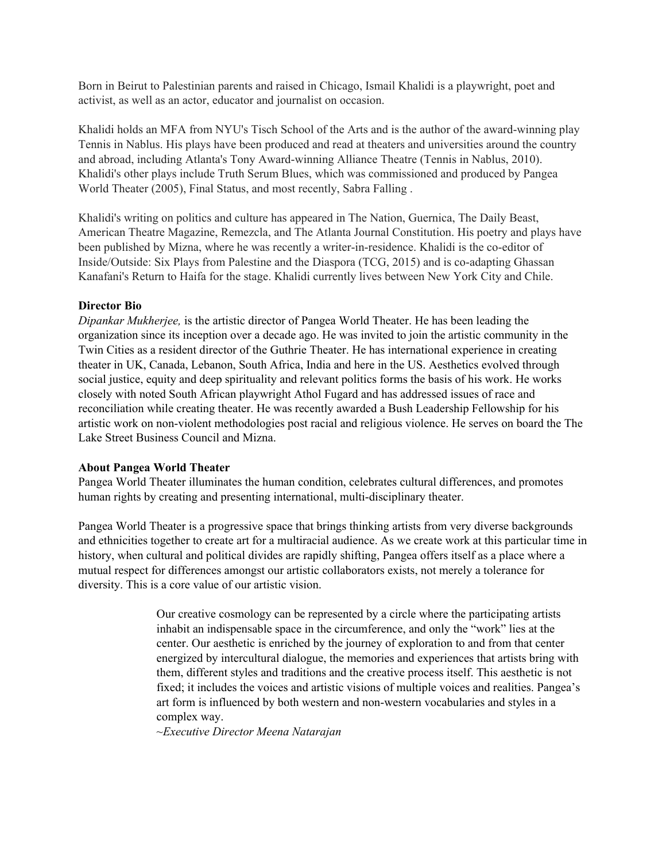Born in Beirut to Palestinian parents and raised in Chicago, Ismail Khalidi is a playwright, poet and activist, as well as an actor, educator and journalist on occasion.

Khalidi holds an MFA from NYU's Tisch School of the Arts and is the author of the award-winning play Tennis in Nablus. His plays have been produced and read at theaters and universities around the country and abroad, including Atlanta's Tony Award-winning Alliance Theatre (Tennis in Nablus, 2010). Khalidi's other plays include Truth Serum Blues, which was commissioned and produced by Pangea World Theater (2005), Final Status, and most recently, Sabra Falling .

Khalidi's writing on politics and culture has appeared in The Nation, Guernica, The Daily Beast, American Theatre Magazine, Remezcla, and The Atlanta Journal Constitution. His poetry and plays have been published by Mizna, where he was recently a writer-in-residence. Khalidi is the co-editor of Inside/Outside: Six Plays from Palestine and the Diaspora (TCG, 2015) and is co-adapting Ghassan Kanafani's Return to Haifa for the stage. Khalidi currently lives between New York City and Chile.

## **Director Bio**

*Dipankar Mukherjee,* is the artistic director of Pangea World Theater. He has been leading the organization since its inception over a decade ago. He was invited to join the artistic community in the Twin Cities as a resident director of the Guthrie Theater. He has international experience in creating theater in UK, Canada, Lebanon, South Africa, India and here in the US. Aesthetics evolved through social justice, equity and deep spirituality and relevant politics forms the basis of his work. He works closely with noted South African playwright Athol Fugard and has addressed issues of race and reconciliation while creating theater. He was recently awarded a Bush Leadership Fellowship for his artistic work on non-violent methodologies post racial and religious violence. He serves on board the The Lake Street Business Council and Mizna.

### **About Pangea World Theater**

Pangea World Theater illuminates the human condition, celebrates cultural differences, and promotes human rights by creating and presenting international, multi-disciplinary theater.

Pangea World Theater is a progressive space that brings thinking artists from very diverse backgrounds and ethnicities together to create art for a multiracial audience. As we create work at this particular time in history, when cultural and political divides are rapidly shifting, Pangea offers itself as a place where a mutual respect for differences amongst our artistic collaborators exists, not merely a tolerance for diversity. This is a core value of our artistic vision.

> Our creative cosmology can be represented by a circle where the participating artists inhabit an indispensable space in the circumference, and only the "work" lies at the center. Our aesthetic is enriched by the journey of exploration to and from that center energized by intercultural dialogue, the memories and experiences that artists bring with them, different styles and traditions and the creative process itself. This aesthetic is not fixed; it includes the voices and artistic visions of multiple voices and realities. Pangea's art form is influenced by both western and non-western vocabularies and styles in a complex way.

*~Executive Director Meena Natarajan*